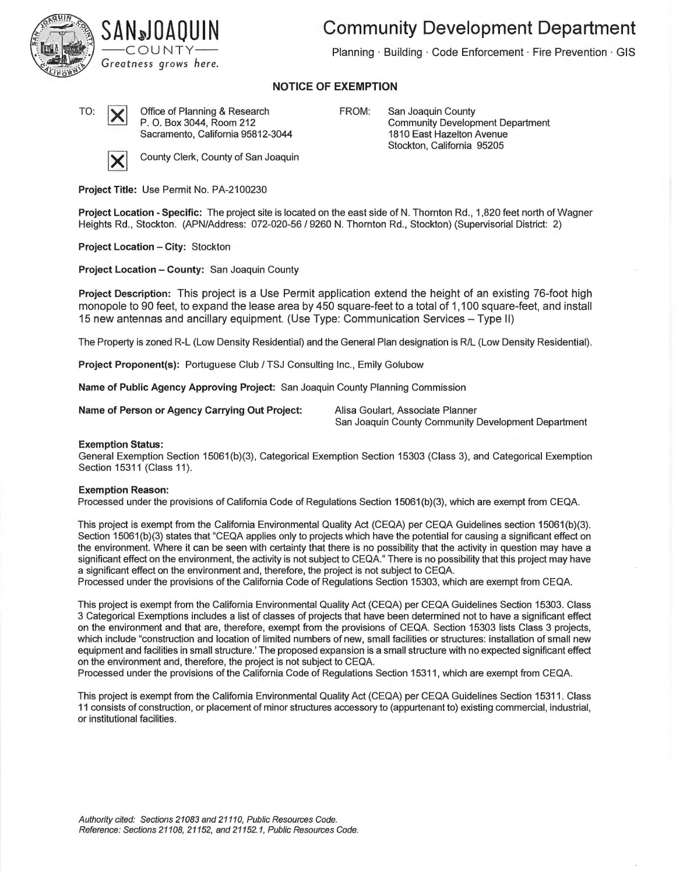



**Community Development Department** 

Planning · Building · Code Enforcement · Fire Prevention · GIS

## **NOTICE OF EXEMPTION**

TO: **X** Office of Planning & Research P. 0. Box 3044, Room 212 Sacramento, California 95812-3044



County Clerk, County of San Joaquin

FROM: San Joaquin County Community Development Department 1810 East Hazelton Avenue Stockton, California 95205

**Project Title:** Use Permit No. PA-2100230

**Project Location - Specific:** The project site is located on the east side of N. Thornton Rd., 1,820 feet north of Wagner Heights Rd., Stockton. (APN/Address: 072-020-56 / 9260 N. Thornton Rd., Stockton) (Supervisorial District: 2)

**Project Location - City:** Stockton

**Project Location - County:** San Joaquin County

**Project Description:** This project is a Use Permit application extend the height of an existing 76-foot high monopole to 90 feet, to expand the lease area by 450 square-feet to a total of 1,100 square-feet, and install 15 new antennas and ancillary equipment. (Use Type: Communication Services - Type II)

The Property is zoned R-L (Low Density Residential) and the General Plan designation is R/L (Low Density Residential).

**Project Proponent(s):** Portuguese Club/ TSJ Consulting Inc., Emily Golubow

**Name of Public Agency Approving Project:** San Joaquin County Planning Commission

**Name of Person or Agency Carrying Out Project:** Alisa Goulart, Associate Planner

San Joaquin County Community Development Department

## **Exemption Status:**

General Exemption Section 15061 (b)(3), Categorical Exemption Section 15303 (Class 3), and Categorical Exemption Section 15311 (Class 11).

## **Exemption Reason:**

Processed under the provisions of California Code of Regulations Section 15061 (b)(3), which are exempt from CEQA.

This project is exempt from the California Environmental Quality Act (CEQA) per CEQA Guidelines section 15061 (b)(3). Section 15061(b)(3) states that "CEQA applies only to projects which have the potential for causing a significant effect on the environment. Where it can be seen with certainty that there is no possibility that the activity in question may have a significant effect on the environment, the activity is not subject to CEQA." There is no possibility that this project may have a significant effect on the environment and, therefore, the project is not subject to CEQA.

Processed under the provisions of the California Code of Regulations Section 15303, which are exempt from CEQA.

This project is exempt from the California Environmental Quality Act (CEQA) per CEQA Guidelines Section 15303. Class 3 Categorical Exemptions includes a list of classes of projects that have been determined not to have a significant effect on the environment and that are, therefore, exempt from the provisions of CEQA. Section 15303 lists Class 3 projects, which include "construction and location of limited numbers of new, small facilities or structures: installation of small new equipment and facilities in small structure.' The proposed expansion is a small structure with no expected significant effect on the environment and, therefore, the project is not subject to CEQA.

Processed under the provisions of the California Code of Regulations Section 15311, which are exempt from CEQA.

This project is exempt from the California Environmental Quality Act (CEQA) per CEQA Guidelines Section 15311. Class 11 consists of construction, or placement of minor structures accessory to (appurtenant to) existing commercial, industrial, or institutional facilities.